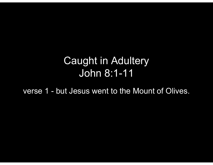## Caught in Adultery John 8:1-11 Caught in Adultery<br>John 8:1-11<br>verse 1 - but Jesus went to the Mount of Olives.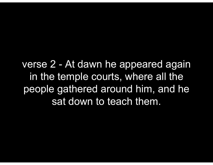verse 2 - At dawn he appeared again<br>in the temple courts, where all the in the temple courts, where all the people gathered around him, and he sat down to teach them.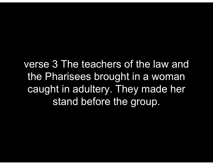verse 3 The teachers of the law and the Pharisees brought in a woman caught in adultery. They made her stand before the group.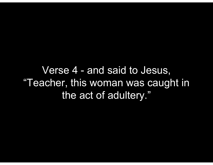Verse 4 - and said to Jesus,<br>acher, this woman was caught in "Teacher, this woman was caught in the act of adultery."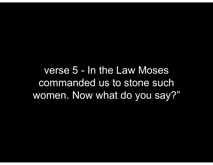verse 5 - In the Law Moses<br>ommanded us to stone such commanded us to stone such women. Now what do you say?"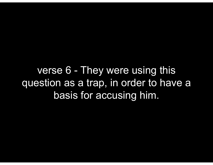verse 6 - They were using this<br>estion as a trap, in order to have a question as a trap, in order to have a basis for accusing him.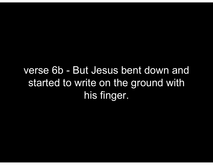verse 6b - But Jesus bent down and started to write on the ground with his finger.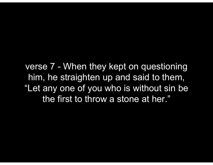verse 7 - When they kept on questioning<br>him, he straighten up and said to them, him, he straighten up and said to them, "Let any one of you who is without sin be the first to throw a stone at her."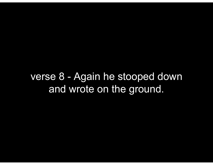verse 8 - Again he stooped down and wrote on the ground.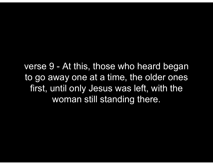verse 9 - At this, those who heard began<br>to go away one at a time, the older ones to go away one at a time, the older ones first, until only Jesus was left, with the woman still standing there.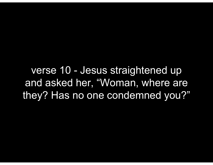verse 10 - Jesus straightened up<br>nd asked her, "Woman, where are and asked her, "Woman, where are they? Has no one condemned you?"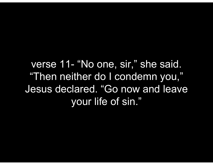verse 11- "No one, sir," she said.<br>"Then neither do I condemn you," "Then neither do I condemn you," Jesus declared. "Go now and leave your life of sin."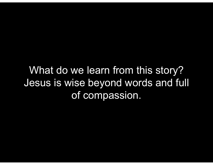What do we learn from this story? Jesus is wise beyond words and full of compassion.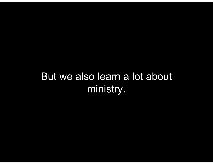## But we also learn a lot about ministry.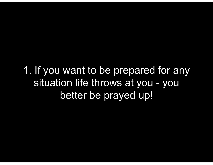1. If you want to be prepared for any If you want to be prepared for any<br>situation life throws at you - you<br>better be prayed up! better be prayed up!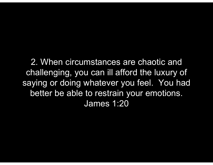2. When circumstances are chaotic and challenging, you can ill afford the luxury of saying or doing whatever you feel. You had better be able to restrain your emotions. James 1:20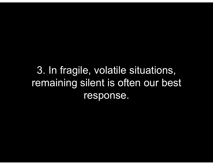3. In fragile, volatile situations, remaining silent is often our best response.